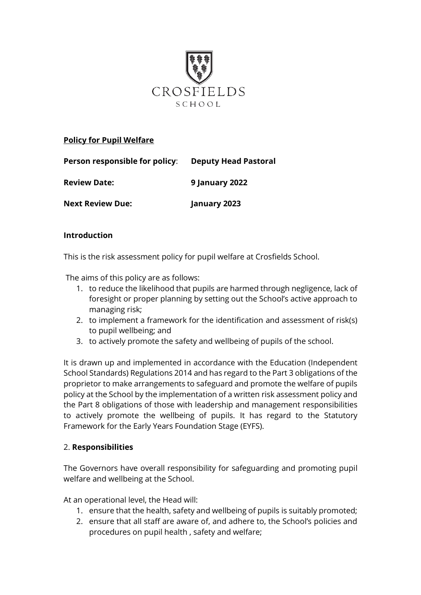

### **Policy for Pupil Welfare**

| Person responsible for policy: | <b>Deputy Head Pastoral</b> |
|--------------------------------|-----------------------------|
| <b>Review Date:</b>            | <b>9 January 2022</b>       |
| <b>Next Review Due:</b>        | January 2023                |

#### **Introduction**

This is the risk assessment policy for pupil welfare at Crosfields School.

The aims of this policy are as follows:

- 1. to reduce the likelihood that pupils are harmed through negligence, lack of foresight or proper planning by setting out the School's active approach to managing risk;
- 2. to implement a framework for the identification and assessment of risk(s) to pupil wellbeing; and
- 3. to actively promote the safety and wellbeing of pupils of the school.

It is drawn up and implemented in accordance with the Education (Independent School Standards) Regulations 2014 and has regard to the Part 3 obligations of the proprietor to make arrangements to safeguard and promote the welfare of pupils policy at the School by the implementation of a written risk assessment policy and the Part 8 obligations of those with leadership and management responsibilities to actively promote the wellbeing of pupils. It has regard to the Statutory Framework for the Early Years Foundation Stage (EYFS).

#### 2. **Responsibilities**

The Governors have overall responsibility for safeguarding and promoting pupil welfare and wellbeing at the School.

At an operational level, the Head will:

- 1. ensure that the health, safety and wellbeing of pupils is suitably promoted;
- 2. ensure that all staff are aware of, and adhere to, the School's policies and procedures on pupil health , safety and welfare;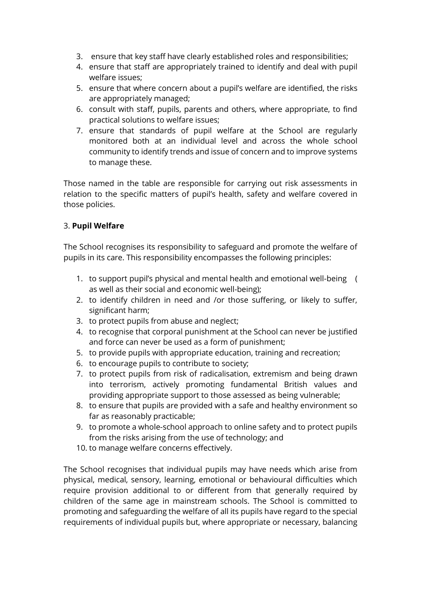- 3. ensure that key staff have clearly established roles and responsibilities;
- 4. ensure that staff are appropriately trained to identify and deal with pupil welfare issues;
- 5. ensure that where concern about a pupil's welfare are identified, the risks are appropriately managed;
- 6. consult with staff, pupils, parents and others, where appropriate, to find practical solutions to welfare issues;
- 7. ensure that standards of pupil welfare at the School are regularly monitored both at an individual level and across the whole school community to identify trends and issue of concern and to improve systems to manage these.

Those named in the table are responsible for carrying out risk assessments in relation to the specific matters of pupil's health, safety and welfare covered in those policies.

# 3. **Pupil Welfare**

The School recognises its responsibility to safeguard and promote the welfare of pupils in its care. This responsibility encompasses the following principles:

- 1. to support pupil's physical and mental health and emotional well-being ( as well as their social and economic well-being);
- 2. to identify children in need and /or those suffering, or likely to suffer, significant harm;
- 3. to protect pupils from abuse and neglect;
- 4. to recognise that corporal punishment at the School can never be justified and force can never be used as a form of punishment;
- 5. to provide pupils with appropriate education, training and recreation;
- 6. to encourage pupils to contribute to society;
- 7. to protect pupils from risk of radicalisation, extremism and being drawn into terrorism, actively promoting fundamental British values and providing appropriate support to those assessed as being vulnerable;
- 8. to ensure that pupils are provided with a safe and healthy environment so far as reasonably practicable;
- 9. to promote a whole-school approach to online safety and to protect pupils from the risks arising from the use of technology; and
- 10. to manage welfare concerns effectively.

The School recognises that individual pupils may have needs which arise from physical, medical, sensory, learning, emotional or behavioural difficulties which require provision additional to or different from that generally required by children of the same age in mainstream schools. The School is committed to promoting and safeguarding the welfare of all its pupils have regard to the special requirements of individual pupils but, where appropriate or necessary, balancing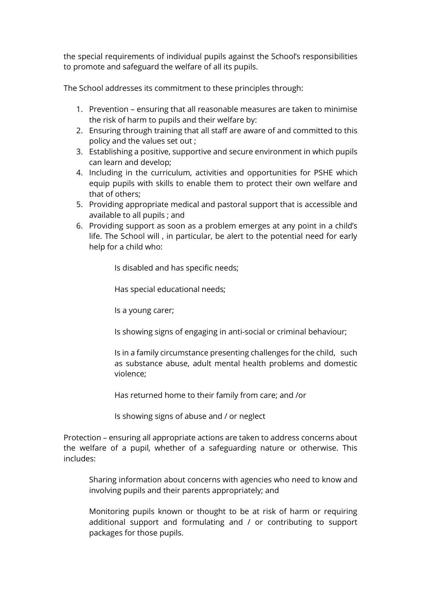the special requirements of individual pupils against the School's responsibilities to promote and safeguard the welfare of all its pupils.

The School addresses its commitment to these principles through:

- 1. Prevention ensuring that all reasonable measures are taken to minimise the risk of harm to pupils and their welfare by:
- 2. Ensuring through training that all staff are aware of and committed to this policy and the values set out ;
- 3. Establishing a positive, supportive and secure environment in which pupils can learn and develop;
- 4. Including in the curriculum, activities and opportunities for PSHE which equip pupils with skills to enable them to protect their own welfare and that of others;
- 5. Providing appropriate medical and pastoral support that is accessible and available to all pupils ; and
- 6. Providing support as soon as a problem emerges at any point in a child's life. The School will , in particular, be alert to the potential need for early help for a child who:

Is disabled and has specific needs;

Has special educational needs;

Is a young carer;

Is showing signs of engaging in anti-social or criminal behaviour;

Is in a family circumstance presenting challenges for the child, such as substance abuse, adult mental health problems and domestic violence;

Has returned home to their family from care; and /or

Is showing signs of abuse and / or neglect

Protection – ensuring all appropriate actions are taken to address concerns about the welfare of a pupil, whether of a safeguarding nature or otherwise. This includes:

Sharing information about concerns with agencies who need to know and involving pupils and their parents appropriately; and

Monitoring pupils known or thought to be at risk of harm or requiring additional support and formulating and / or contributing to support packages for those pupils.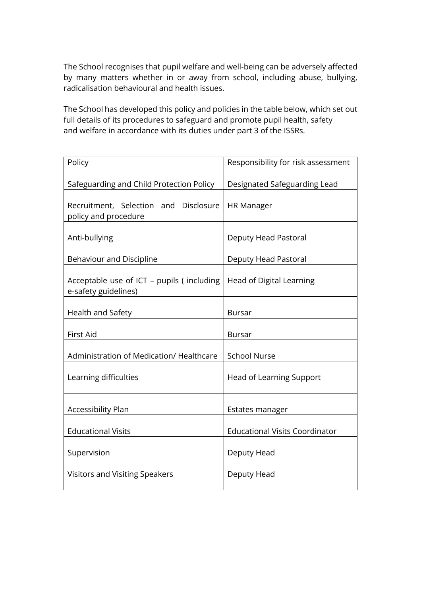The School recognises that pupil welfare and well-being can be adversely affected by many matters whether in or away from school, including abuse, bullying, radicalisation behavioural and health issues.

The School has developed this policy and policies in the table below, which set out full details of its procedures to safeguard and promote pupil health, safety and welfare in accordance with its duties under part 3 of the ISSRs.

| Policy                                                            | Responsibility for risk assessment    |
|-------------------------------------------------------------------|---------------------------------------|
| Safeguarding and Child Protection Policy                          | Designated Safeguarding Lead          |
| Recruitment, Selection and Disclosure<br>policy and procedure     | <b>HR Manager</b>                     |
| Anti-bullying                                                     | Deputy Head Pastoral                  |
| Behaviour and Discipline                                          | Deputy Head Pastoral                  |
| Acceptable use of ICT - pupils (including<br>e-safety guidelines) | Head of Digital Learning              |
| Health and Safety                                                 | <b>Bursar</b>                         |
| First Aid                                                         | <b>Bursar</b>                         |
| Administration of Medication/ Healthcare                          | <b>School Nurse</b>                   |
| Learning difficulties                                             | <b>Head of Learning Support</b>       |
| <b>Accessibility Plan</b>                                         | Estates manager                       |
| <b>Educational Visits</b>                                         | <b>Educational Visits Coordinator</b> |
| Supervision                                                       | Deputy Head                           |
| Visitors and Visiting Speakers                                    | Deputy Head                           |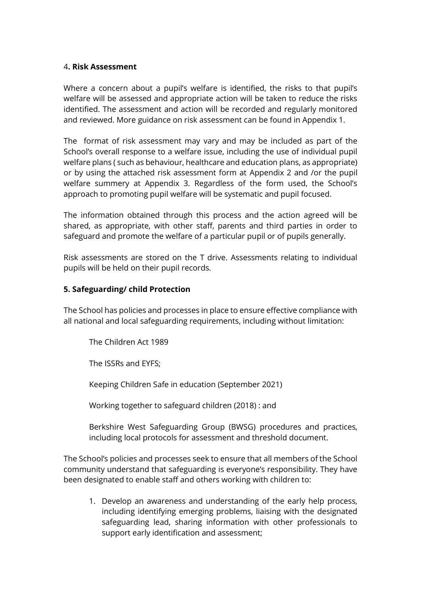#### 4**. Risk Assessment**

Where a concern about a pupil's welfare is identified, the risks to that pupil's welfare will be assessed and appropriate action will be taken to reduce the risks identified. The assessment and action will be recorded and regularly monitored and reviewed. More guidance on risk assessment can be found in Appendix 1.

The format of risk assessment may vary and may be included as part of the School's overall response to a welfare issue, including the use of individual pupil welfare plans ( such as behaviour, healthcare and education plans, as appropriate) or by using the attached risk assessment form at Appendix 2 and /or the pupil welfare summery at Appendix 3. Regardless of the form used, the School's approach to promoting pupil welfare will be systematic and pupil focused.

The information obtained through this process and the action agreed will be shared, as appropriate, with other staff, parents and third parties in order to safeguard and promote the welfare of a particular pupil or of pupils generally.

Risk assessments are stored on the T drive. Assessments relating to individual pupils will be held on their pupil records.

#### **5. Safeguarding/ child Protection**

The School has policies and processes in place to ensure effective compliance with all national and local safeguarding requirements, including without limitation:

The Children Act 1989

The ISSRs and EYFS;

Keeping Children Safe in education (September 2021)

Working together to safeguard children (2018) : and

Berkshire West Safeguarding Group (BWSG) procedures and practices, including local protocols for assessment and threshold document.

The School's policies and processes seek to ensure that all members of the School community understand that safeguarding is everyone's responsibility. They have been designated to enable staff and others working with children to:

1. Develop an awareness and understanding of the early help process, including identifying emerging problems, liaising with the designated safeguarding lead, sharing information with other professionals to support early identification and assessment;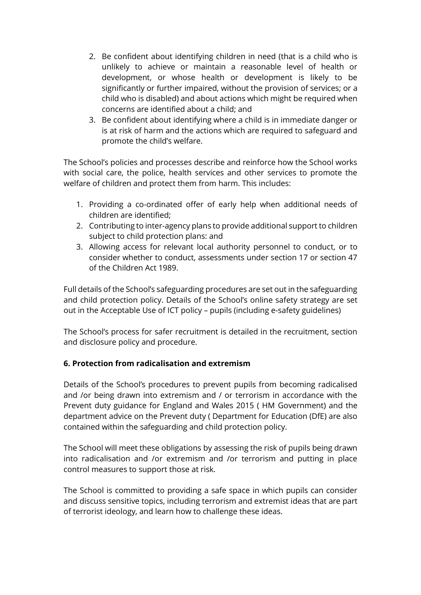- 2. Be confident about identifying children in need (that is a child who is unlikely to achieve or maintain a reasonable level of health or development, or whose health or development is likely to be significantly or further impaired, without the provision of services; or a child who is disabled) and about actions which might be required when concerns are identified about a child; and
- 3. Be confident about identifying where a child is in immediate danger or is at risk of harm and the actions which are required to safeguard and promote the child's welfare.

The School's policies and processes describe and reinforce how the School works with social care, the police, health services and other services to promote the welfare of children and protect them from harm. This includes:

- 1. Providing a co-ordinated offer of early help when additional needs of children are identified;
- 2. Contributing to inter-agency plans to provide additional support to children subject to child protection plans: and
- 3. Allowing access for relevant local authority personnel to conduct, or to consider whether to conduct, assessments under section 17 or section 47 of the Children Act 1989.

Full details of the School's safeguarding procedures are set out in the safeguarding and child protection policy. Details of the School's online safety strategy are set out in the Acceptable Use of ICT policy – pupils (including e-safety guidelines)

The School's process for safer recruitment is detailed in the recruitment, section and disclosure policy and procedure.

## **6. Protection from radicalisation and extremism**

Details of the School's procedures to prevent pupils from becoming radicalised and /or being drawn into extremism and / or terrorism in accordance with the Prevent duty guidance for England and Wales 2015 ( HM Government) and the department advice on the Prevent duty ( Department for Education (DfE) are also contained within the safeguarding and child protection policy.

The School will meet these obligations by assessing the risk of pupils being drawn into radicalisation and /or extremism and /or terrorism and putting in place control measures to support those at risk.

The School is committed to providing a safe space in which pupils can consider and discuss sensitive topics, including terrorism and extremist ideas that are part of terrorist ideology, and learn how to challenge these ideas.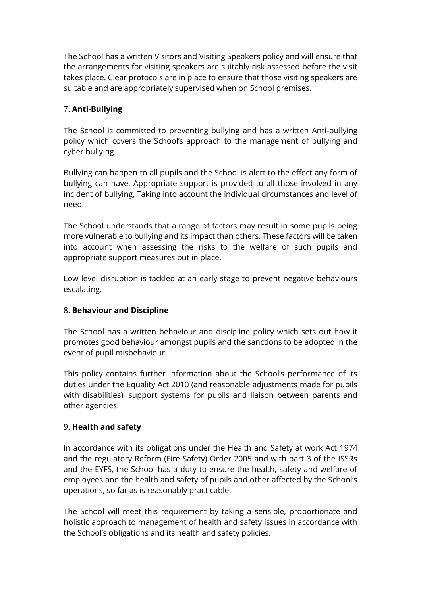The School has a written Visitors and Visiting Speakers policy and will ensure that the arrangements for visiting speakers are suitably risk assessed before the visit takes place. Clear protocols are in place to ensure that those visiting speakers are suitable and are appropriately supervised when on School premises.

# 7. **Anti-Bullying**

The School is committed to preventing bullying and has a written Anti-bullying policy which covers the School's approach to the management of bullying and cyber bullying.

Bullying can happen to all pupils and the School is alert to the effect any form of bullying can have. Appropriate support is provided to all those involved in any incident of bullying, Taking into account the individual circumstances and level of need.

The School understands that a range of factors may result in some pupils being more vulnerable to bullying and its impact than others. These factors will be taken into account when assessing the risks to the welfare of such pupils and appropriate support measures put in place.

Low level disruption is tackled at an early stage to prevent negative behaviours escalating.

## 8. **Behaviour and Discipline**

The School has a written behaviour and discipline policy which sets out how it promotes good behaviour amongst pupils and the sanctions to be adopted in the event of pupil misbehaviour

This policy contains further information about the School's performance of its duties under the Equality Act 2010 (and reasonable adjustments made for pupils with disabilities), support systems for pupils and liaison between parents and other agencies.

## 9. **Health and safety**

In accordance with its obligations under the Health and Safety at work Act 1974 and the regulatory Reform (Fire Safety) Order 2005 and with part 3 of the ISSRs and the EYFS, the School has a duty to ensure the health, safety and welfare of employees and the health and safety of pupils and other affected by the School's operations, so far as is reasonably practicable.

The School will meet this requirement by taking a sensible, proportionate and holistic approach to management of health and safety issues in accordance with the School's obligations and its health and safety policies.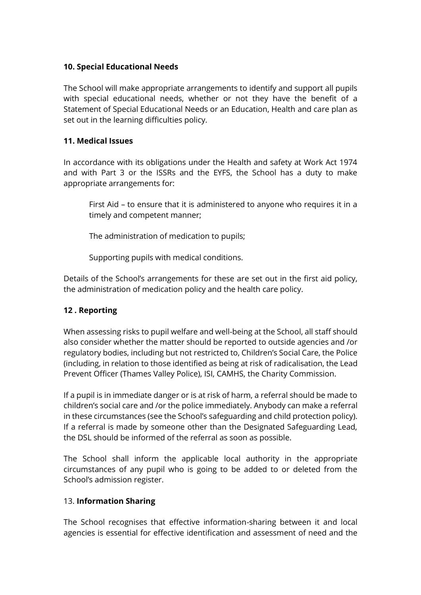### **10. Special Educational Needs**

The School will make appropriate arrangements to identify and support all pupils with special educational needs, whether or not they have the benefit of a Statement of Special Educational Needs or an Education, Health and care plan as set out in the learning difficulties policy.

### **11. Medical Issues**

In accordance with its obligations under the Health and safety at Work Act 1974 and with Part 3 or the ISSRs and the EYFS, the School has a duty to make appropriate arrangements for:

First Aid – to ensure that it is administered to anyone who requires it in a timely and competent manner;

The administration of medication to pupils;

Supporting pupils with medical conditions.

Details of the School's arrangements for these are set out in the first aid policy, the administration of medication policy and the health care policy.

## **12 . Reporting**

When assessing risks to pupil welfare and well-being at the School, all staff should also consider whether the matter should be reported to outside agencies and /or regulatory bodies, including but not restricted to, Children's Social Care, the Police (including, in relation to those identified as being at risk of radicalisation, the Lead Prevent Officer (Thames Valley Police), ISI, CAMHS, the Charity Commission.

If a pupil is in immediate danger or is at risk of harm, a referral should be made to children's social care and /or the police immediately. Anybody can make a referral in these circumstances (see the School's safeguarding and child protection policy). If a referral is made by someone other than the Designated Safeguarding Lead, the DSL should be informed of the referral as soon as possible.

The School shall inform the applicable local authority in the appropriate circumstances of any pupil who is going to be added to or deleted from the School's admission register.

#### 13. **Information Sharing**

The School recognises that effective information-sharing between it and local agencies is essential for effective identification and assessment of need and the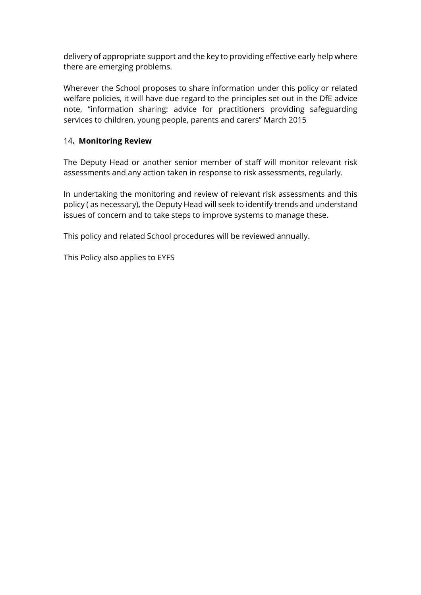delivery of appropriate support and the key to providing effective early help where there are emerging problems.

Wherever the School proposes to share information under this policy or related welfare policies, it will have due regard to the principles set out in the DfE advice note, "information sharing: advice for practitioners providing safeguarding services to children, young people, parents and carers" March 2015

#### 14**. Monitoring Review**

The Deputy Head or another senior member of staff will monitor relevant risk assessments and any action taken in response to risk assessments, regularly.

In undertaking the monitoring and review of relevant risk assessments and this policy ( as necessary), the Deputy Head will seek to identify trends and understand issues of concern and to take steps to improve systems to manage these.

This policy and related School procedures will be reviewed annually.

This Policy also applies to EYFS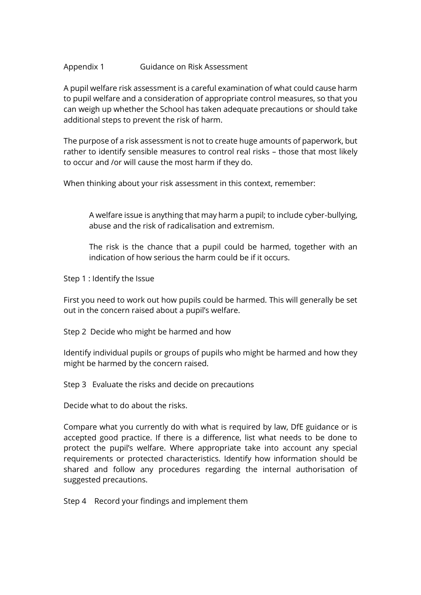#### Appendix 1 Guidance on Risk Assessment

A pupil welfare risk assessment is a careful examination of what could cause harm to pupil welfare and a consideration of appropriate control measures, so that you can weigh up whether the School has taken adequate precautions or should take additional steps to prevent the risk of harm.

The purpose of a risk assessment is not to create huge amounts of paperwork, but rather to identify sensible measures to control real risks – those that most likely to occur and /or will cause the most harm if they do.

When thinking about your risk assessment in this context, remember:

A welfare issue is anything that may harm a pupil; to include cyber-bullying, abuse and the risk of radicalisation and extremism.

The risk is the chance that a pupil could be harmed, together with an indication of how serious the harm could be if it occurs.

Step 1 : Identify the Issue

First you need to work out how pupils could be harmed. This will generally be set out in the concern raised about a pupil's welfare.

Step 2 Decide who might be harmed and how

Identify individual pupils or groups of pupils who might be harmed and how they might be harmed by the concern raised.

Step 3 Evaluate the risks and decide on precautions

Decide what to do about the risks.

Compare what you currently do with what is required by law, DfE guidance or is accepted good practice. If there is a difference, list what needs to be done to protect the pupil's welfare. Where appropriate take into account any special requirements or protected characteristics. Identify how information should be shared and follow any procedures regarding the internal authorisation of suggested precautions.

Step 4 Record your findings and implement them